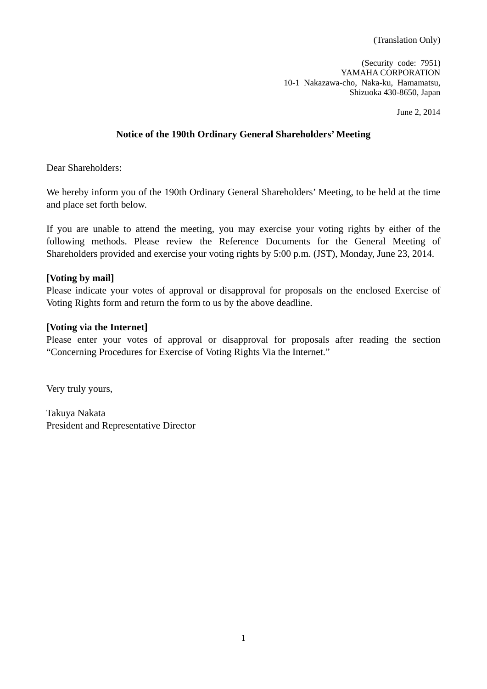(Translation Only)

(Security code: 7951) YAMAHA CORPORATION 10-1 Nakazawa-cho, Naka-ku, Hamamatsu, Shizuoka 430-8650, Japan

June 2, 2014

## **Notice of the 190th Ordinary General Shareholders' Meeting**

Dear Shareholders:

We hereby inform you of the 190th Ordinary General Shareholders' Meeting, to be held at the time and place set forth below.

If you are unable to attend the meeting, you may exercise your voting rights by either of the following methods. Please review the Reference Documents for the General Meeting of Shareholders provided and exercise your voting rights by 5:00 p.m. (JST), Monday, June 23, 2014.

### **[Voting by mail]**

Please indicate your votes of approval or disapproval for proposals on the enclosed Exercise of Voting Rights form and return the form to us by the above deadline.

#### **[Voting via the Internet]**

Please enter your votes of approval or disapproval for proposals after reading the section "Concerning Procedures for Exercise of Voting Rights Via the Internet."

Very truly yours,

Takuya Nakata President and Representative Director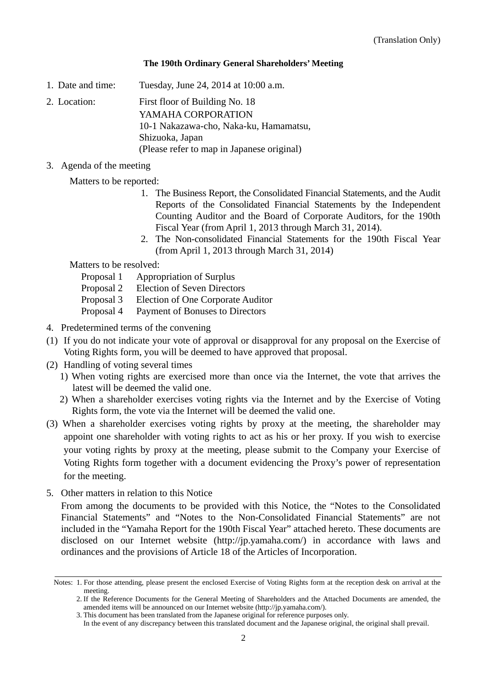### **The 190th Ordinary General Shareholders' Meeting**

1. Date and time: Tuesday, June 24, 2014 at 10:00 a.m.

2. Location: First floor of Building No. 18 YAMAHA CORPORATION 10-1 Nakazawa-cho, Naka-ku, Hamamatsu, Shizuoka, Japan (Please refer to map in Japanese original)

3. Agenda of the meeting

Matters to be reported:

- 1. The Business Report, the Consolidated Financial Statements, and the Audit Reports of the Consolidated Financial Statements by the Independent Counting Auditor and the Board of Corporate Auditors, for the 190th Fiscal Year (from April 1, 2013 through March 31, 2014).
- 2. The Non-consolidated Financial Statements for the 190th Fiscal Year (from April 1, 2013 through March 31, 2014)

Matters to be resolved:

- Proposal 1 Appropriation of Surplus
- Proposal 2 Election of Seven Directors
- Proposal 3 Election of One Corporate Auditor
- Proposal 4 Payment of Bonuses to Directors
- 4. Predetermined terms of the convening
- (1) If you do not indicate your vote of approval or disapproval for any proposal on the Exercise of Voting Rights form, you will be deemed to have approved that proposal.
- (2) Handling of voting several times
	- 1) When voting rights are exercised more than once via the Internet, the vote that arrives the latest will be deemed the valid one.
	- 2) When a shareholder exercises voting rights via the Internet and by the Exercise of Voting Rights form, the vote via the Internet will be deemed the valid one.
- (3) When a shareholder exercises voting rights by proxy at the meeting, the shareholder may appoint one shareholder with voting rights to act as his or her proxy. If you wish to exercise your voting rights by proxy at the meeting, please submit to the Company your Exercise of Voting Rights form together with a document evidencing the Proxy's power of representation for the meeting.
- 5. Other matters in relation to this Notice

 From among the documents to be provided with this Notice, the "Notes to the Consolidated Financial Statements" and "Notes to the Non-Consolidated Financial Statements" are not included in the "Yamaha Report for the 190th Fiscal Year" attached hereto. These documents are disclosed on our Internet website (http://jp.yamaha.com/) in accordance with laws and ordinances and the provisions of Article 18 of the Articles of Incorporation.

Notes: 1. For those attending, please present the enclosed Exercise of Voting Rights form at the reception desk on arrival at the meeting.

<sup>2.</sup> If the Reference Documents for the General Meeting of Shareholders and the Attached Documents are amended, the amended items will be announced on our Internet website (http://jp.yamaha.com/).

<sup>3.</sup> This document has been translated from the Japanese original for reference purposes only.

In the event of any discrepancy between this translated document and the Japanese original, the original shall prevail.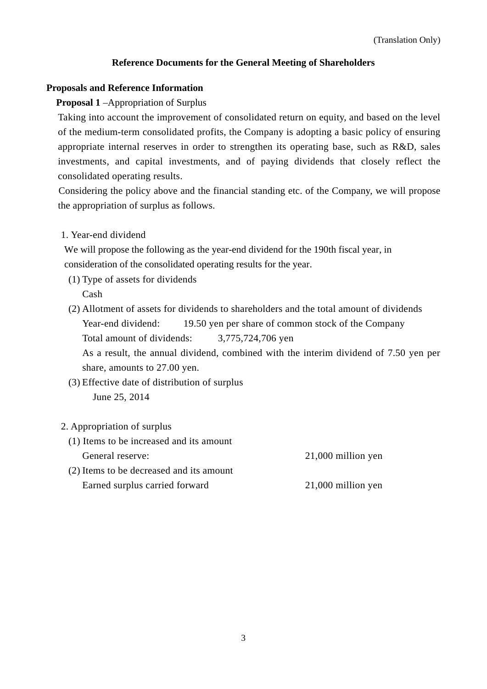## **Reference Documents for the General Meeting of Shareholders**

### **Proposals and Reference Information**

### **Proposal 1** –Appropriation of Surplus

Taking into account the improvement of consolidated return on equity, and based on the level of the medium-term consolidated profits, the Company is adopting a basic policy of ensuring appropriate internal reserves in order to strengthen its operating base, such as R&D, sales investments, and capital investments, and of paying dividends that closely reflect the consolidated operating results.

 Considering the policy above and the financial standing etc. of the Company, we will propose the appropriation of surplus as follows.

### 1. Year-end dividend

We will propose the following as the year-end dividend for the 190th fiscal year, in consideration of the consolidated operating results for the year.

- (1) Type of assets for dividends Cash
- (2) Allotment of assets for dividends to shareholders and the total amount of dividends Year-end dividend: 19.50 yen per share of common stock of the Company Total amount of dividends: 3,775,724,706 yen As a result, the annual dividend, combined with the interim dividend of 7.50 yen per share, amounts to 27.00 yen.
- (3) Effective date of distribution of surplus June 25, 2014

### 2. Appropriation of surplus

(1) Items to be increased and its amount General reserve: 21,000 million yen (2) Items to be decreased and its amount Earned surplus carried forward 21,000 million yen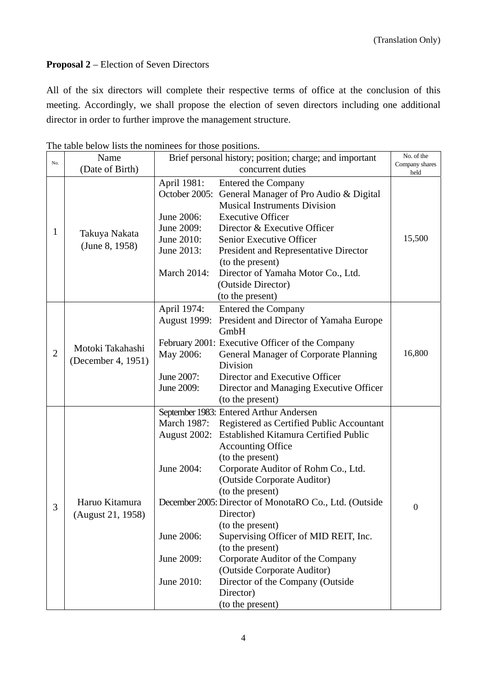# **Proposal 2** – Election of Seven Directors

All of the six directors will complete their respective terms of office at the conclusion of this meeting. Accordingly, we shall propose the election of seven directors including one additional director in order to further improve the management structure.

|                | Name                                   | Brief personal history; position; charge; and important |                                                        | No. of the             |  |
|----------------|----------------------------------------|---------------------------------------------------------|--------------------------------------------------------|------------------------|--|
| No.            | (Date of Birth)                        | concurrent duties                                       |                                                        | Company shares<br>held |  |
| 1              | Takuya Nakata<br>(June 8, 1958)        | April 1981:                                             | <b>Entered the Company</b>                             |                        |  |
|                |                                        | October 2005:                                           | General Manager of Pro Audio & Digital                 |                        |  |
|                |                                        |                                                         | <b>Musical Instruments Division</b>                    |                        |  |
|                |                                        | June 2006:                                              | <b>Executive Officer</b>                               |                        |  |
|                |                                        | June 2009:                                              | Director & Executive Officer                           |                        |  |
|                |                                        | June 2010:                                              | Senior Executive Officer                               | 15,500                 |  |
|                |                                        | June 2013:                                              | President and Representative Director                  |                        |  |
|                |                                        |                                                         | (to the present)                                       |                        |  |
|                |                                        | <b>March 2014:</b>                                      | Director of Yamaha Motor Co., Ltd.                     |                        |  |
|                |                                        |                                                         | (Outside Director)                                     |                        |  |
|                |                                        |                                                         | (to the present)                                       |                        |  |
|                |                                        | April 1974:                                             | <b>Entered the Company</b>                             |                        |  |
|                |                                        | <b>August 1999:</b>                                     | President and Director of Yamaha Europe                |                        |  |
|                |                                        |                                                         | GmbH                                                   |                        |  |
|                | Motoki Takahashi<br>(December 4, 1951) |                                                         | February 2001: Executive Officer of the Company        |                        |  |
| $\overline{2}$ |                                        | May 2006:                                               | General Manager of Corporate Planning                  | 16,800                 |  |
|                |                                        |                                                         | Division                                               |                        |  |
|                |                                        | June 2007:                                              | Director and Executive Officer                         |                        |  |
|                |                                        | June 2009:                                              | Director and Managing Executive Officer                |                        |  |
|                |                                        |                                                         | (to the present)                                       |                        |  |
|                | Haruo Kitamura<br>(August 21, 1958)    |                                                         | September 1983: Entered Arthur Andersen                |                        |  |
|                |                                        | March 1987:                                             | Registered as Certified Public Accountant              |                        |  |
|                |                                        | August 2002:                                            | <b>Established Kitamura Certified Public</b>           |                        |  |
|                |                                        |                                                         | <b>Accounting Office</b>                               |                        |  |
|                |                                        |                                                         | (to the present)                                       |                        |  |
|                |                                        | June 2004:                                              | Corporate Auditor of Rohm Co., Ltd.                    |                        |  |
|                |                                        |                                                         | (Outside Corporate Auditor)                            |                        |  |
|                |                                        |                                                         | (to the present)                                       |                        |  |
| 3              |                                        |                                                         | December 2005: Director of MonotaRO Co., Ltd. (Outside | $\boldsymbol{0}$       |  |
|                |                                        |                                                         | Director)                                              |                        |  |
|                |                                        |                                                         | (to the present)                                       |                        |  |
|                |                                        | June 2006:                                              | Supervising Officer of MID REIT, Inc.                  |                        |  |
|                |                                        |                                                         | (to the present)                                       |                        |  |
|                |                                        | June 2009:                                              | Corporate Auditor of the Company                       |                        |  |
|                |                                        |                                                         | (Outside Corporate Auditor)                            |                        |  |
|                |                                        | June 2010:                                              | Director of the Company (Outside                       |                        |  |
|                |                                        |                                                         | Director)                                              |                        |  |
|                |                                        |                                                         | (to the present)                                       |                        |  |

The table below lists the nominees for those positions.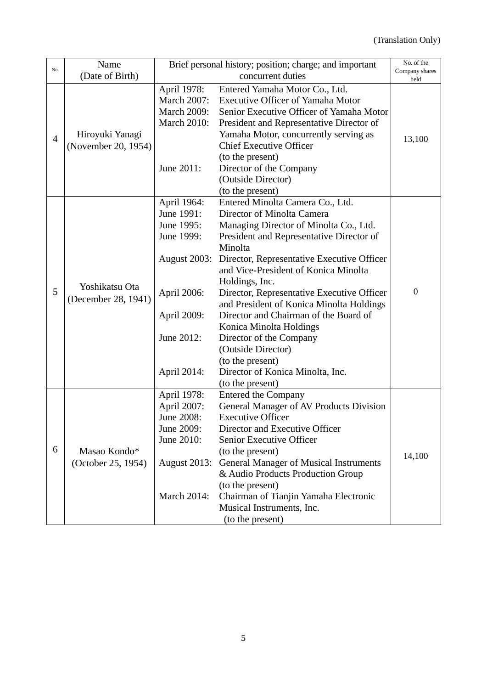|                | Name                | Brief personal history; position; charge; and important |                                                                                                                                                 | No. of the             |
|----------------|---------------------|---------------------------------------------------------|-------------------------------------------------------------------------------------------------------------------------------------------------|------------------------|
| No.            | (Date of Birth)     | concurrent duties                                       |                                                                                                                                                 | Company shares<br>held |
|                |                     | April 1978:                                             | Entered Yamaha Motor Co., Ltd.                                                                                                                  |                        |
|                |                     | <b>March 2007:</b>                                      | <b>Executive Officer of Yamaha Motor</b>                                                                                                        |                        |
|                |                     | <b>March 2009:</b>                                      | Senior Executive Officer of Yamaha Motor                                                                                                        |                        |
| $\overline{4}$ |                     | <b>March 2010:</b>                                      | President and Representative Director of                                                                                                        |                        |
|                | Hiroyuki Yanagi     |                                                         | Yamaha Motor, concurrently serving as                                                                                                           |                        |
|                | (November 20, 1954) |                                                         | <b>Chief Executive Officer</b>                                                                                                                  | 13,100                 |
|                |                     |                                                         | (to the present)                                                                                                                                |                        |
|                |                     | June 2011:                                              | Director of the Company                                                                                                                         |                        |
|                |                     |                                                         | (Outside Director)                                                                                                                              |                        |
|                |                     |                                                         | (to the present)                                                                                                                                |                        |
|                |                     | April 1964:                                             | Entered Minolta Camera Co., Ltd.                                                                                                                |                        |
|                |                     | June 1991:                                              | Director of Minolta Camera                                                                                                                      |                        |
|                |                     | June 1995:                                              | Managing Director of Minolta Co., Ltd.                                                                                                          |                        |
|                |                     | June 1999:                                              | President and Representative Director of                                                                                                        |                        |
|                | Yoshikatsu Ota      |                                                         | Minolta                                                                                                                                         |                        |
|                |                     | <b>August 2003:</b>                                     | Director, Representative Executive Officer                                                                                                      |                        |
|                |                     |                                                         | and Vice-President of Konica Minolta                                                                                                            |                        |
|                |                     |                                                         | Holdings, Inc.                                                                                                                                  |                        |
| 5              | (December 28, 1941) | April 2006:                                             | Director, Representative Executive Officer                                                                                                      | $\boldsymbol{0}$       |
|                |                     |                                                         | and President of Konica Minolta Holdings                                                                                                        |                        |
|                |                     | April 2009:                                             | Director and Chairman of the Board of                                                                                                           |                        |
|                |                     |                                                         | Konica Minolta Holdings                                                                                                                         |                        |
|                |                     | June 2012:                                              | Director of the Company                                                                                                                         |                        |
|                |                     |                                                         | (Outside Director)                                                                                                                              |                        |
|                |                     |                                                         | (to the present)                                                                                                                                |                        |
|                |                     | April 2014:                                             | Director of Konica Minolta, Inc.                                                                                                                |                        |
|                |                     |                                                         | (to the present)                                                                                                                                |                        |
|                |                     | April 1978:                                             | <b>Entered the Company</b>                                                                                                                      |                        |
|                |                     | April 2007:                                             | General Manager of AV Products Division                                                                                                         |                        |
|                |                     | June 2008:                                              | <b>Executive Officer</b>                                                                                                                        |                        |
|                |                     | June 2009:                                              | Director and Executive Officer                                                                                                                  |                        |
| 6              |                     | June 2010:                                              | Senior Executive Officer                                                                                                                        |                        |
|                | Masao Kondo*        |                                                         | (to the present)                                                                                                                                | 14,100                 |
|                | (October 25, 1954)  | <b>August 2013:</b>                                     | <b>General Manager of Musical Instruments</b>                                                                                                   |                        |
|                |                     |                                                         |                                                                                                                                                 |                        |
|                |                     |                                                         |                                                                                                                                                 |                        |
|                |                     |                                                         |                                                                                                                                                 |                        |
|                |                     |                                                         |                                                                                                                                                 |                        |
|                |                     | <b>March 2014:</b>                                      | & Audio Products Production Group<br>(to the present)<br>Chairman of Tianjin Yamaha Electronic<br>Musical Instruments, Inc.<br>(to the present) |                        |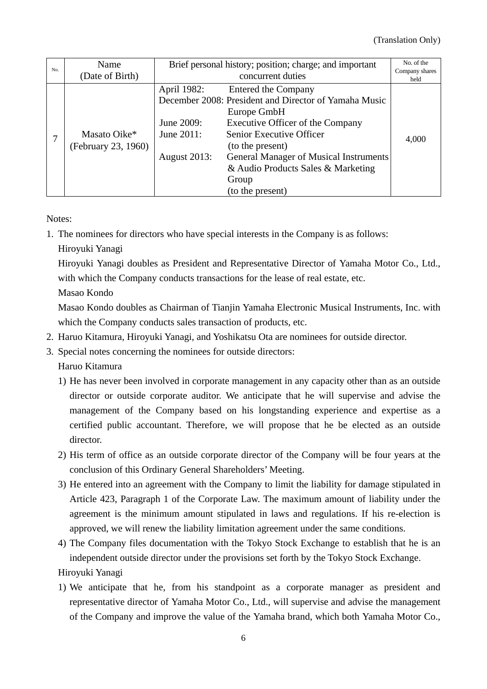| No. | Name                                | Brief personal history; position; charge; and important        |                                                                                                                                                                                                                                                                                               | No. of the             |
|-----|-------------------------------------|----------------------------------------------------------------|-----------------------------------------------------------------------------------------------------------------------------------------------------------------------------------------------------------------------------------------------------------------------------------------------|------------------------|
|     | (Date of Birth)                     | concurrent duties                                              |                                                                                                                                                                                                                                                                                               | Company shares<br>held |
|     | Masato Oike*<br>(February 23, 1960) | April 1982:<br>June 2009:<br>June 2011:<br><b>August 2013:</b> | <b>Entered the Company</b><br>December 2008: President and Director of Yamaha Music<br>Europe GmbH<br><b>Executive Officer of the Company</b><br>Senior Executive Officer<br>(to the present)<br><b>General Manager of Musical Instruments</b><br>& Audio Products Sales & Marketing<br>Group | 4,000                  |
|     |                                     |                                                                | (to the present)                                                                                                                                                                                                                                                                              |                        |

Notes:

1. The nominees for directors who have special interests in the Company is as follows:

Hiroyuki Yanagi

Hiroyuki Yanagi doubles as President and Representative Director of Yamaha Motor Co., Ltd., with which the Company conducts transactions for the lease of real estate, etc.

Masao Kondo

Masao Kondo doubles as Chairman of Tianjin Yamaha Electronic Musical Instruments, Inc. with which the Company conducts sales transaction of products, etc.

- 2. Haruo Kitamura, Hiroyuki Yanagi, and Yoshikatsu Ota are nominees for outside director.
- 3. Special notes concerning the nominees for outside directors:

Haruo Kitamura

- 1) He has never been involved in corporate management in any capacity other than as an outside director or outside corporate auditor. We anticipate that he will supervise and advise the management of the Company based on his longstanding experience and expertise as a certified public accountant. Therefore, we will propose that he be elected as an outside director.
- 2) His term of office as an outside corporate director of the Company will be four years at the conclusion of this Ordinary General Shareholders' Meeting.
- 3) He entered into an agreement with the Company to limit the liability for damage stipulated in Article 423, Paragraph 1 of the Corporate Law. The maximum amount of liability under the agreement is the minimum amount stipulated in laws and regulations. If his re-election is approved, we will renew the liability limitation agreement under the same conditions.
- 4) The Company files documentation with the Tokyo Stock Exchange to establish that he is an independent outside director under the provisions set forth by the Tokyo Stock Exchange. Hiroyuki Yanagi
- 1) We anticipate that he, from his standpoint as a corporate manager as president and representative director of Yamaha Motor Co., Ltd., will supervise and advise the management of the Company and improve the value of the Yamaha brand, which both Yamaha Motor Co.,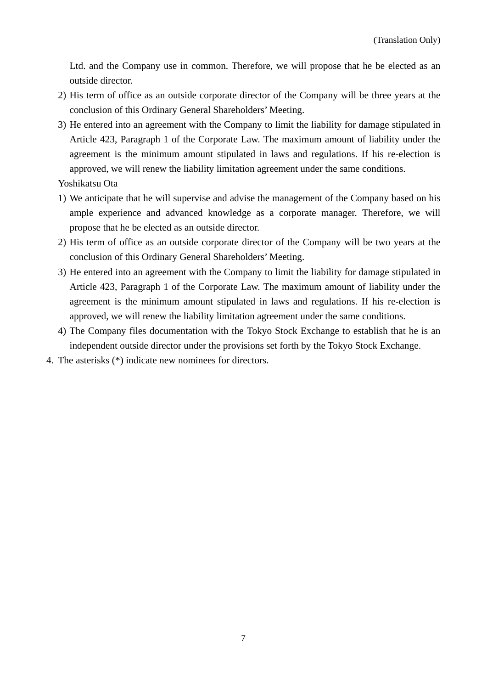Ltd. and the Company use in common. Therefore, we will propose that he be elected as an outside director.

- 2) His term of office as an outside corporate director of the Company will be three years at the conclusion of this Ordinary General Shareholders' Meeting.
- 3) He entered into an agreement with the Company to limit the liability for damage stipulated in Article 423, Paragraph 1 of the Corporate Law. The maximum amount of liability under the agreement is the minimum amount stipulated in laws and regulations. If his re-election is approved, we will renew the liability limitation agreement under the same conditions.

Yoshikatsu Ota

- 1) We anticipate that he will supervise and advise the management of the Company based on his ample experience and advanced knowledge as a corporate manager. Therefore, we will propose that he be elected as an outside director.
- 2) His term of office as an outside corporate director of the Company will be two years at the conclusion of this Ordinary General Shareholders' Meeting.
- 3) He entered into an agreement with the Company to limit the liability for damage stipulated in Article 423, Paragraph 1 of the Corporate Law. The maximum amount of liability under the agreement is the minimum amount stipulated in laws and regulations. If his re-election is approved, we will renew the liability limitation agreement under the same conditions.
- 4) The Company files documentation with the Tokyo Stock Exchange to establish that he is an independent outside director under the provisions set forth by the Tokyo Stock Exchange.
- 4. The asterisks (\*) indicate new nominees for directors.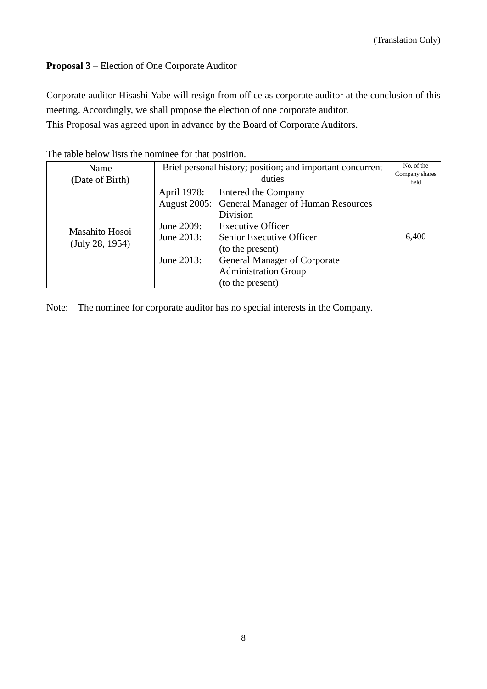# **Proposal 3** – Election of One Corporate Auditor

Corporate auditor Hisashi Yabe will resign from office as corporate auditor at the conclusion of this meeting. Accordingly, we shall propose the election of one corporate auditor.

This Proposal was agreed upon in advance by the Board of Corporate Auditors.

| The more below how the homing for that position. |                                                            |                                                 |                        |  |  |
|--------------------------------------------------|------------------------------------------------------------|-------------------------------------------------|------------------------|--|--|
| Name                                             | Brief personal history; position; and important concurrent |                                                 | No. of the             |  |  |
| (Date of Birth)                                  | duties                                                     |                                                 | Company shares<br>held |  |  |
|                                                  | April 1978:                                                | <b>Entered the Company</b>                      |                        |  |  |
|                                                  |                                                            | August 2005: General Manager of Human Resources |                        |  |  |
|                                                  |                                                            | Division                                        |                        |  |  |
| Masahito Hosoi                                   | June 2009:                                                 | <b>Executive Officer</b>                        |                        |  |  |
|                                                  | June 2013:                                                 | Senior Executive Officer                        | 6,400                  |  |  |
| (July 28, 1954)                                  |                                                            | (to the present)                                |                        |  |  |
|                                                  | June 2013:                                                 | <b>General Manager of Corporate</b>             |                        |  |  |
|                                                  |                                                            | <b>Administration Group</b>                     |                        |  |  |
|                                                  |                                                            | (to the present)                                |                        |  |  |

The table below lists the nominee for that position.

Note: The nominee for corporate auditor has no special interests in the Company.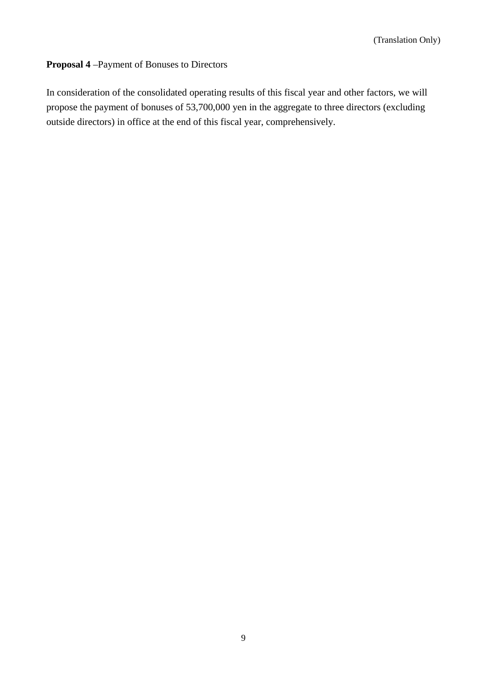# **Proposal 4** –Payment of Bonuses to Directors

In consideration of the consolidated operating results of this fiscal year and other factors, we will propose the payment of bonuses of 53,700,000 yen in the aggregate to three directors (excluding outside directors) in office at the end of this fiscal year, comprehensively.